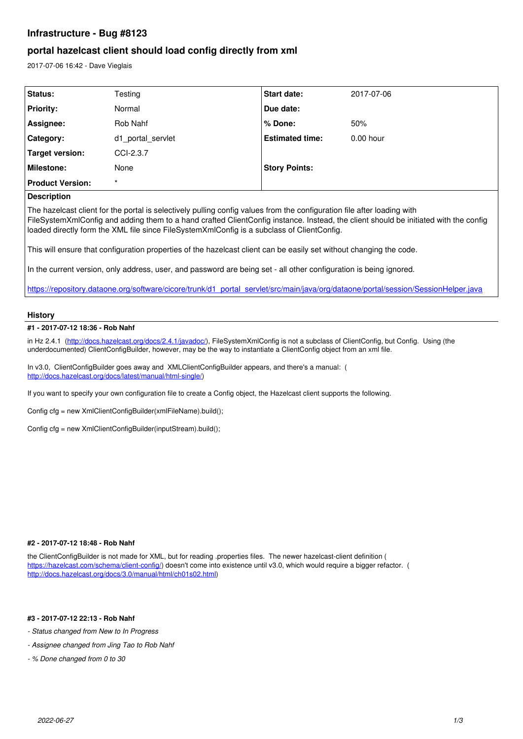# **Infrastructure - Bug #8123**

# **portal hazelcast client should load config directly from xml**

2017-07-06 16:42 - Dave Vieglais

| Status:                 | Testing           | <b>Start date:</b>     | 2017-07-06  |
|-------------------------|-------------------|------------------------|-------------|
| <b>Priority:</b>        | Normal            | Due date:              |             |
| Assignee:               | Rob Nahf          | % Done:                | 50%         |
| <b>Category:</b>        | d1 portal servlet | <b>Estimated time:</b> | $0.00$ hour |
| Target version:         | CCI-2.3.7         |                        |             |
| <b>Milestone:</b>       | None              | <b>Story Points:</b>   |             |
| <b>Product Version:</b> | $\star$           |                        |             |

# **Description**

The hazelcast client for the portal is selectively pulling config values from the configuration file after loading with FileSystemXmlConfig and adding them to a hand crafted ClientConfig instance. Instead, the client should be initiated with the config loaded directly form the XML file since FileSystemXmlConfig is a subclass of ClientConfig.

This will ensure that configuration properties of the hazelcast client can be easily set without changing the code.

In the current version, only address, user, and password are being set - all other configuration is being ignored.

[https://repository.dataone.org/software/cicore/trunk/d1\\_portal\\_servlet/src/main/java/org/dataone/portal/session/SessionHelper.java](https://repository.dataone.org/software/cicore/trunk/d1_portal_servlet/src/main/java/org/dataone/portal/session/SessionHelper.java)

# **History**

## **#1 - 2017-07-12 18:36 - Rob Nahf**

in Hz 2.4.1 (<http://docs.hazelcast.org/docs/2.4.1/javadoc/>), FileSystemXmlConfig is not a subclass of ClientConfig, but Config. Using (the underdocumented) ClientConfigBuilder, however, may be the way to instantiate a ClientConfig object from an xml file.

In v3.0, ClientConfigBuilder goes away and XMLClientConfigBuilder appears, and there's a manual: ( [http://docs.hazelcast.org/docs/latest/manual/html-single/\)](http://docs.hazelcast.org/docs/latest/manual/html-single/)

If you want to specify your own configuration file to create a Config object, the Hazelcast client supports the following.

Config cfg = new XmlClientConfigBuilder(xmlFileName).build();

Config cfg = new XmlClientConfigBuilder(inputStream).build();

## **#2 - 2017-07-12 18:48 - Rob Nahf**

the ClientConfigBuilder is not made for XML, but for reading .properties files. The newer hazelcast-client definition ( [https://hazelcast.com/schema/client-config/\)](https://hazelcast.com/schema/client-config/) doesn't come into existence until v3.0, which would require a bigger refactor. ( [http://docs.hazelcast.org/docs/3.0/manual/html/ch01s02.html\)](http://docs.hazelcast.org/docs/3.0/manual/html/ch01s02.html)

# **#3 - 2017-07-12 22:13 - Rob Nahf**

*- Status changed from New to In Progress*

- *Assignee changed from Jing Tao to Rob Nahf*
- *% Done changed from 0 to 30*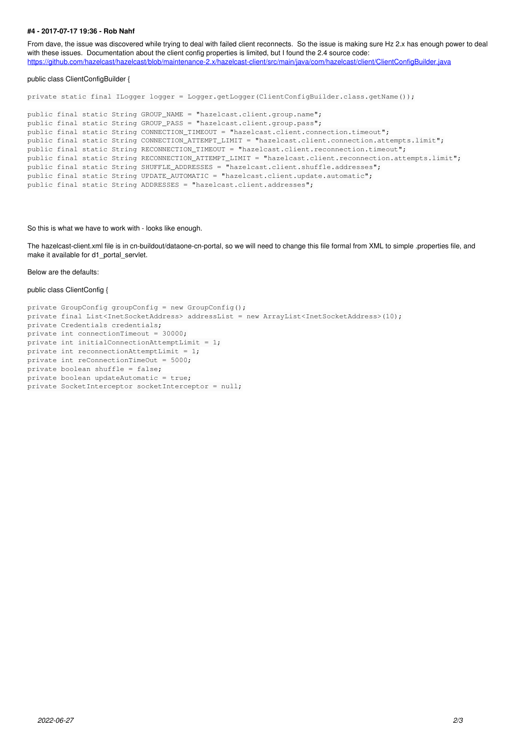### **#4 - 2017-07-17 19:36 - Rob Nahf**

From dave, the issue was discovered while trying to deal with failed client reconnects. So the issue is making sure Hz 2.x has enough power to deal with these issues. Documentation about the client config properties is limited, but I found the 2.4 source code: <https://github.com/hazelcast/hazelcast/blob/maintenance-2.x/hazelcast-client/src/main/java/com/hazelcast/client/ClientConfigBuilder.java>

#### public class ClientConfigBuilder {

private static final ILogger logger = Logger.getLogger(ClientConfigBuilder.class.getName());

```
public final static String GROUP_NAME = "hazelcast.client.group.name";
public final static String GROUP_PASS = "hazelcast.client.group.pass";
public final static String CONNECTION_TIMEOUT = "hazelcast.client.connection.timeout";
public final static String CONNECTION_ATTEMPT_LIMIT = "hazelcast.client.connection.attempts.limit";
public final static String RECONNECTION_TIMEOUT = "hazelcast.client.reconnection.timeout";
public final static String RECONNECTION_ATTEMPT_LIMIT = "hazelcast.client.reconnection.attempts.limit";
public final static String SHUFFLE_ADDRESSES = "hazelcast.client.shuffle.addresses";
public final static String UPDATE_AUTOMATIC = "hazelcast.client.update.automatic";
public final static String ADDRESSES = "hazelcast.client.addresses";
```
#### So this is what we have to work with - looks like enough.

The hazelcast-client.xml file is in cn-buildout/dataone-cn-portal, so we will need to change this file formal from XML to simple .properties file, and make it available for d1\_portal\_servlet.

### Below are the defaults:

#### public class ClientConfig {

```
private GroupConfig groupConfig = new GroupConfig();
private final List<InetSocketAddress> addressList = new ArrayList<InetSocketAddress>(10);
private Credentials credentials;
private int connectionTimeout = 30000;
private int initialConnectionAttemptLimit = 1;
private int reconnectionAttemptLimit = 1;
private int reConnectionTimeOut = 5000;
private boolean shuffle = false;
private boolean updateAutomatic = true;
private SocketInterceptor socketInterceptor = null;
```